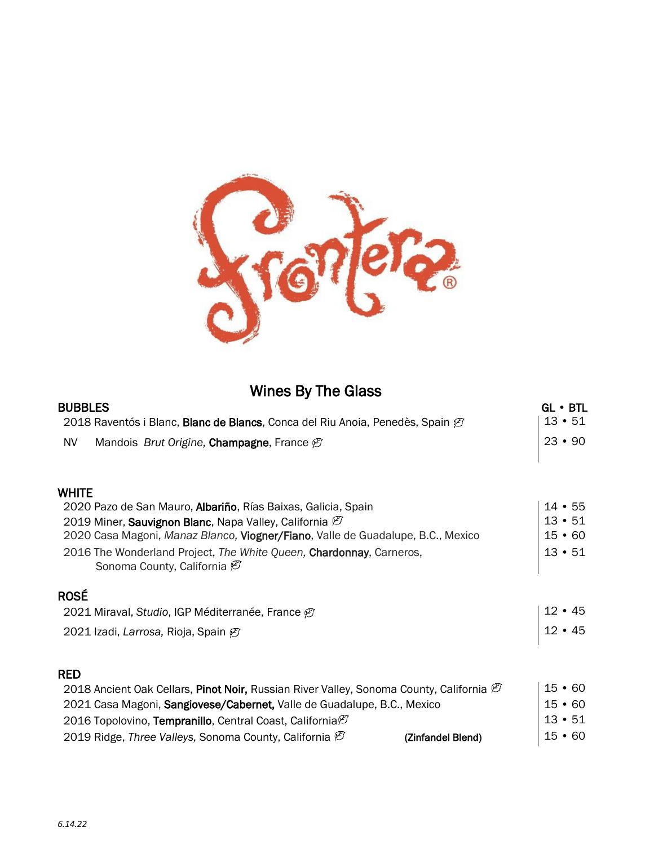

# Wines By The Glass

| <b>BUBBLES</b>                                                                                                   | $GL \cdot BTL$                 |
|------------------------------------------------------------------------------------------------------------------|--------------------------------|
| 2018 Raventós i Blanc, Blanc de Blancs, Conca del Riu Anoia, Penedès, Spain $\varnothing$                        | $13 \cdot 51$                  |
| <b>NV</b><br>Mandois <i>Brut Origine</i> , <b>Champagne</b> , France $\varnothing$                               | $23 \cdot 90$                  |
| <b>WHITE</b>                                                                                                     |                                |
| 2020 Pazo de San Mauro, Albariño, Rías Baixas, Galicia, Spain                                                    | $14 \cdot 55$                  |
| 2019 Miner, Sauvignon Blanc, Napa Valley, California &                                                           | $13 \cdot 51$                  |
| 2020 Casa Magoni, Manaz Blanco, Viogner/Fiano, Valle de Guadalupe, B.C., Mexico                                  | $15 \cdot 60$                  |
| 2016 The Wonderland Project, The White Queen, Chardonnay, Carneros,<br>Sonoma County, California <sup>[27]</sup> | $13 \cdot 51$                  |
| <b>ROSÉ</b>                                                                                                      |                                |
| 2021 Miraval, Studio, IGP Méditerranée, France Ø                                                                 | $12 \cdot 45$<br>$12 \cdot 45$ |
| 2021 Izadi, Larrosa, Rioja, Spain Ø                                                                              |                                |
| <b>RED</b>                                                                                                       |                                |
| 2018 Ancient Oak Cellars, Pinot Noir, Russian River Valley, Sonoma County, California $\mathcal C$               | $15 \cdot 60$                  |
| 2021 Casa Magoni, Sangiovese/Cabernet, Valle de Guadalupe, B.C., Mexico                                          | $15 \cdot 60$                  |
| 2016 Topolovino, Tempranillo, Central Coast, California <sup>®</sup>                                             | $13 \cdot 51$                  |
| 2019 Ridge, Three Valleys, Sonoma County, California $\varnothing$<br>(Zinfandel Blend)                          | $15 \cdot 60$                  |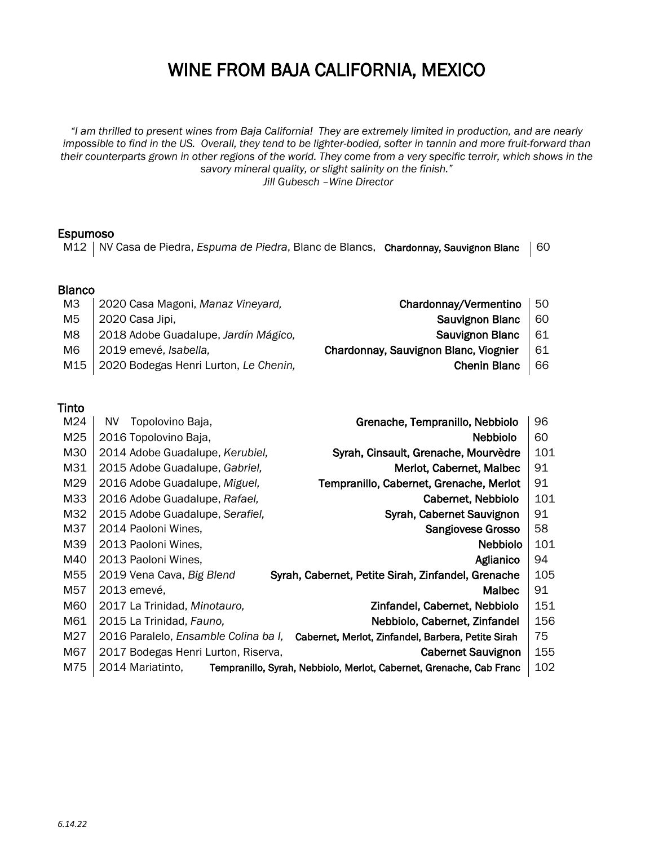# WINE FROM BAJA CALIFORNIA, MEXICO

*"I am thrilled to present wines from Baja California! They are extremely limited in production, and are nearly impossible to find in the US.* Overall, they tend to be lighter-bodied, softer in tannin and more fruit-forward than *their counterparts grown in other regions of the world. They come from a very specific terroir, which shows in the savory mineral quality, or slight salinity on the finish."* 

*Jill Gubesch –Wine Director*

#### Espumoso

M12 | NV Casa de Piedra, *Espuma de Piedra*, Blanc de Blancs, Chardonnay, Sauvignon Blanc | 60

### Blanco

- M3 | 2020 Casa Magoni, *Manaz Vineyard,* Chardonnay/Vermentino | 50
- M5 2020 Casa Jipi, Sauvignon Blanc 60
- M8 | 2018 Adobe Guadalupe, *Jardín Mágico*, **Sauvignon Blanc** | 61
- M6 | 2019 emevé, *Isabella*, **Chardonnay, Sauvignon Blanc, Viognier** | 61
- M15 | 2020 Bodegas Henri Lurton, *Le Chenin*, **Chenin Blanc** | 66

### Tinto

| M24 | Topolovino Baja,<br>NV.              | Grenache, Tempranillo, Nebbiolo                                     | 96  |
|-----|--------------------------------------|---------------------------------------------------------------------|-----|
| M25 | 2016 Topolovino Baja,                | <b>Nebbiolo</b>                                                     | 60  |
| M30 | 2014 Adobe Guadalupe, Kerubiel,      | Syrah, Cinsault, Grenache, Mourvèdre                                | 101 |
| M31 | 2015 Adobe Guadalupe, Gabriel,       | Merlot, Cabernet, Malbec                                            | 91  |
| M29 | 2016 Adobe Guadalupe, Miguel,        | Tempranillo, Cabernet, Grenache, Merlot                             | 91  |
| M33 | 2016 Adobe Guadalupe, Rafael,        | Cabernet, Nebbiolo                                                  | 101 |
| M32 | 2015 Adobe Guadalupe, Serafiel,      | Syrah, Cabernet Sauvignon                                           | 91  |
| M37 | 2014 Paoloni Wines,                  | Sangiovese Grosso                                                   | 58  |
| M39 | 2013 Paoloni Wines,                  | <b>Nebbiolo</b>                                                     | 101 |
| M40 | 2013 Paoloni Wines,                  | Aglianico                                                           | 94  |
| M55 | 2019 Vena Cava, Big Blend            | Syrah, Cabernet, Petite Sirah, Zinfandel, Grenache                  | 105 |
| M57 | 2013 emevé,                          | <b>Malbec</b>                                                       | 91  |
| M60 | 2017 La Trinidad, Minotauro,         | Zinfandel, Cabernet, Nebbiolo                                       | 151 |
| M61 | 2015 La Trinidad, Fauno,             | Nebbiolo, Cabernet, Zinfandel                                       | 156 |
| M27 | 2016 Paralelo, Ensamble Colina ba I, | Cabernet, Merlot, Zinfandel, Barbera, Petite Sirah                  | 75  |
| M67 | 2017 Bodegas Henri Lurton, Riserva,  | <b>Cabernet Sauvignon</b>                                           | 155 |
| M75 | 2014 Mariatinto,                     | Tempranillo, Syrah, Nebbiolo, Merlot, Cabernet, Grenache, Cab Franc | 102 |
|     |                                      |                                                                     |     |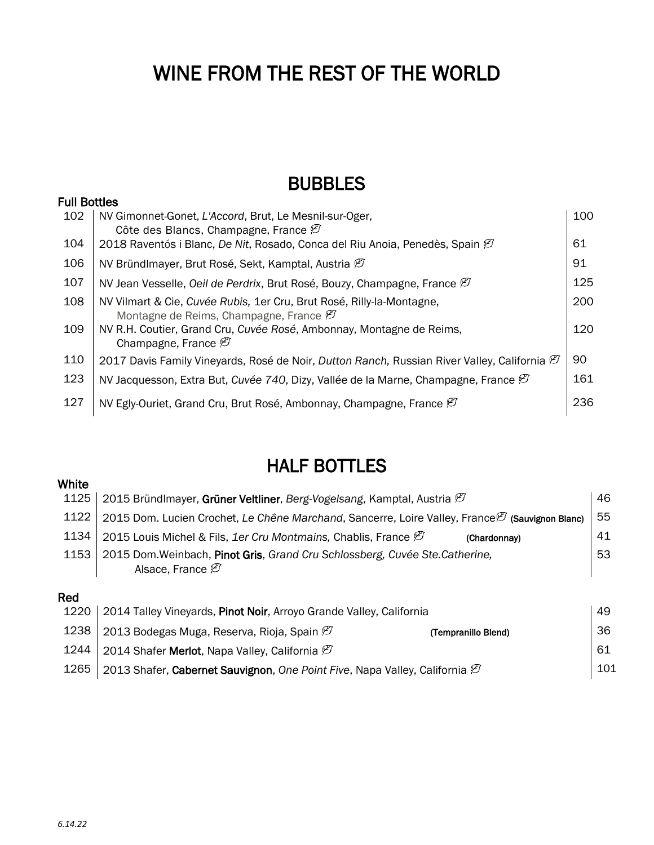# WINE FROM THE REST OF THE WORLD

# BUBBLES

### Full Bottles

| 102 | NV Gimonnet-Gonet, L'Accord, Brut, Le Mesnil-sur-Oger,<br>Côte des Blancs, Champagne, France $\varnothing$                  | 100 |
|-----|-----------------------------------------------------------------------------------------------------------------------------|-----|
| 104 | 2018 Raventós i Blanc, De Nit, Rosado, Conca del Riu Anoia, Penedès, Spain $\mathcal{P}$                                    | 61  |
| 106 | NV Bründlmayer, Brut Rosé, Sekt, Kamptal, Austria $\mathcal{B}$                                                             | 91  |
| 107 | NV Jean Vesselle, Oeil de Perdrix, Brut Rosé, Bouzy, Champagne, France $\varnothing$                                        | 125 |
| 108 | NV Vilmart & Cie, Cuvée Rubis, 1er Cru, Brut Rosé, Rilly-la-Montagne,<br>Montagne de Reims, Champagne, France $\varnothing$ | 200 |
| 109 | NV R.H. Coutier, Grand Cru, Cuvée Rosé, Ambonnay, Montagne de Reims,<br>Champagne, France $\mathcal{D}$                     | 120 |
| 110 | 2017 Davis Family Vineyards, Rosé de Noir, Dutton Ranch, Russian River Valley, California $\mathcal{O}$                     | 90  |
| 123 | NV Jacquesson, Extra But, Cuvée 740, Dizy, Vallée de la Marne, Champagne, France $\mathcal C$                               | 161 |
| 127 | NV Egly-Ouriet, Grand Cru, Brut Rosé, Ambonnay, Champagne, France $\mathcal C$                                              | 236 |
|     |                                                                                                                             |     |

# HALF BOTTLES

## **White** 1125 | 2015 Bründlmayer, Grüner Veltliner, *Berg-Vogelsang*, Kamptal, Austria  $\mathscr{B}$  16 1122 | 2015 Dom. Lucien Crochet, *Le Chêne Marchand*, Sancerre, Loire Valley, France *(Sauvignon Blanc*) | 55 1134 | 2015 Louis Michel & Fils, 1er Cru Montmains, Chablis, France  $\beta$  (Chardonnay) 41 1153 2015 Dom.Weinbach, Pinot Gris, *Grand Cru Schlossberg, Cuvée Ste.Catherine,* Alsace, France  $\varnothing$ 53 Red 1220 | 2014 Talley Vineyards, Pinot Noir, Arroyo Grande Valley, California 49 1238 | 2013 Bodegas Muga, Reserva, Rioja, Spain  $\mathcal{O}$  (Tempranillo Blend) 36 1244 | 2014 Shafer Merlot, Napa Valley, California  $\mathcal{B}$  and the contract of the contract of the contract of the contract of the contract of the contract of the contract of the contract of the contract of the contract

1265 | 2013 Shafer, Cabernet Sauvignon, *One Point Five*, Napa Valley, California  $\varnothing$  101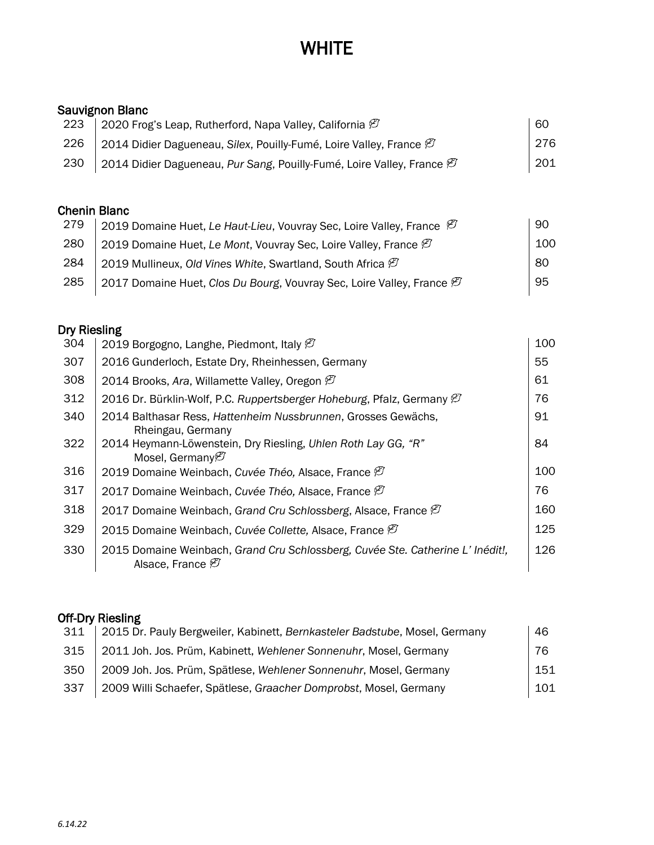# **WHITE**

### Sauvignon Blanc

| 223 | 2020 Frog's Leap, Rutherford, Napa Valley, California $\varnothing$               | -60 |
|-----|-----------------------------------------------------------------------------------|-----|
| 226 | 2014 Didier Dagueneau, Silex, Pouilly-Fumé, Loire Valley, France $\mathscr{B}$    | 276 |
| 230 | 2014 Didier Dagueneau, Pur Sang, Pouilly-Fumé, Loire Valley, France $\varnothing$ | 201 |

### Chenin Blanc

| 279 | 2019 Domaine Huet, Le Haut-Lieu, Vouvray Sec, Loire Valley, France $\mathcal{B}$  | -90 |
|-----|-----------------------------------------------------------------------------------|-----|
| 280 | 2019 Domaine Huet, Le Mont, Vouvray Sec, Loire Valley, France $\mathcal C$        | 100 |
| 284 | 2019 Mullineux, Old Vines White, Swartland, South Africa $\varnothing$            | 80  |
| 285 | 2017 Domaine Huet, Clos Du Bourg, Vouvray Sec, Loire Valley, France $\mathcal{C}$ | 95  |

## Dry Riesling

| 304 | 2019 Borgogno, Langhe, Piedmont, Italy $\varnothing$                                                            | 100 |
|-----|-----------------------------------------------------------------------------------------------------------------|-----|
| 307 | 2016 Gunderloch, Estate Dry, Rheinhessen, Germany                                                               | 55  |
| 308 | 2014 Brooks, Ara, Willamette Valley, Oregon $\varnothing$                                                       | 61  |
| 312 | 2016 Dr. Bürklin-Wolf, P.C. Ruppertsberger Hoheburg, Pfalz, Germany $\varnothing$                               | 76  |
| 340 | 2014 Balthasar Ress, Hattenheim Nussbrunnen, Grosses Gewächs,<br>Rheingau, Germany                              | 91  |
| 322 | 2014 Heymann-Löwenstein, Dry Riesling, Uhlen Roth Lay GG, "R"<br>Mosel, Germany <sup>[27]</sup>                 | 84  |
| 316 | 2019 Domaine Weinbach, Cuvée Théo, Alsace, France <sup>(2)</sup>                                                | 100 |
| 317 | 2017 Domaine Weinbach, Cuvée Théo, Alsace, France @                                                             | 76  |
| 318 | 2017 Domaine Weinbach, Grand Cru Schlossberg, Alsace, France $\mathcal C$                                       | 160 |
| 329 | 2015 Domaine Weinbach, Cuvée Collette, Alsace, France $\varnothing$                                             | 125 |
| 330 | 2015 Domaine Weinbach, Grand Cru Schlossberg, Cuvée Ste. Catherine L' Inédit!,<br>Alsace, France <sup>(2)</sup> | 126 |
|     |                                                                                                                 |     |

## Off-Dry Riesling

| 311 | 2015 Dr. Pauly Bergweiler, Kabinett, Bernkasteler Badstube, Mosel, Germany | 46  |
|-----|----------------------------------------------------------------------------|-----|
| 315 | 2011 Joh. Jos. Prüm, Kabinett, Wehlener Sonnenuhr, Mosel, Germany          | 76  |
| 350 | 2009 Joh. Jos. Prüm, Spätlese, Wehlener Sonnenuhr, Mosel, Germany          | 151 |
| 337 | 2009 Willi Schaefer, Spätlese, Graacher Domprobst, Mosel, Germany          | 101 |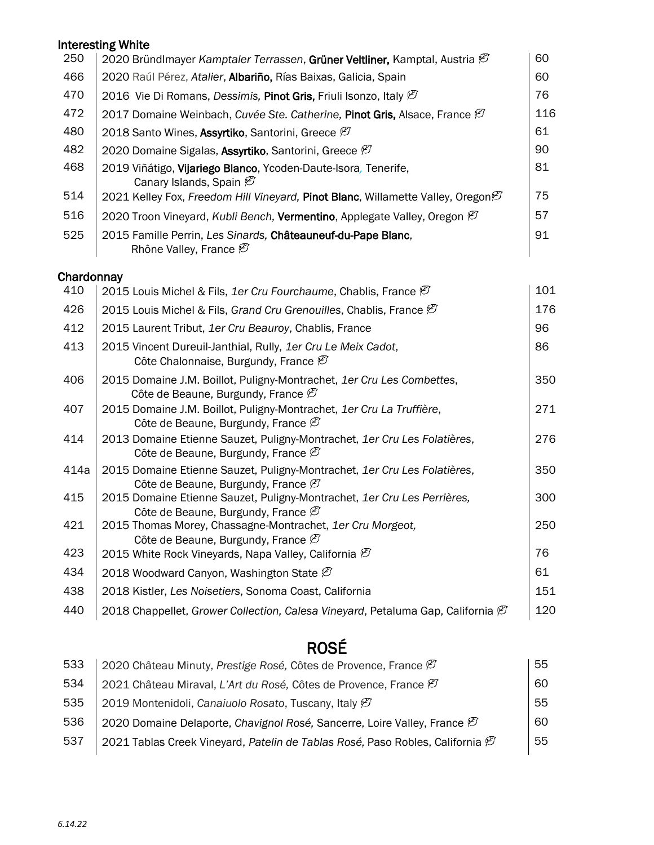## Interesting White

| 250 | 2020 Bründlmayer Kamptaler Terrassen, Grüner Veltliner, Kamptal, Austria $\mathcal C$                 | 60  |
|-----|-------------------------------------------------------------------------------------------------------|-----|
| 466 | 2020 Raúl Pérez, Atalier, Albariño, Rías Baixas, Galicia, Spain                                       | 60  |
| 470 | 2016 Vie Di Romans, Dessimis, Pinot Gris, Friuli Isonzo, Italy $\varnothing$                          | 76  |
| 472 | 2017 Domaine Weinbach, Cuvée Ste. Catherine, Pinot Gris, Alsace, France $\mathcal C$                  | 116 |
| 480 | 2018 Santo Wines, Assyrtiko, Santorini, Greece Ø                                                      | 61  |
| 482 | 2020 Domaine Sigalas, Assyrtiko, Santorini, Greece <sup>@</sup>                                       | 90  |
| 468 | 2019 Viñátigo, Vijariego Blanco, Ycoden-Daute-Isora, Tenerife,<br>Canary Islands, Spain $\mathcal{B}$ | 81  |
| 514 | 2021 Kelley Fox, Freedom Hill Vineyard, Pinot Blanc, Willamette Valley, Oregon $\mathcal G$           | 75  |
| 516 | 2020 Troon Vineyard, Kubli Bench, Vermentino, Applegate Valley, Oregon $\mathcal{C}$                  | 57  |
| 525 | 2015 Famille Perrin, Les Sinards, Châteauneuf-du-Pape Blanc,<br>Rhône Valley, France <sup>[27]</sup>  | 91  |

## **Chardonnay**

| 410  | 2015 Louis Michel & Fils, 1er Cru Fourchaume, Chablis, France $\varnothing$                                                | 101 |
|------|----------------------------------------------------------------------------------------------------------------------------|-----|
| 426  | 2015 Louis Michel & Fils, Grand Cru Grenouilles, Chablis, France $\varnothing$                                             | 176 |
| 412  | 2015 Laurent Tribut, 1er Cru Beauroy, Chablis, France                                                                      | 96  |
| 413  | 2015 Vincent Dureuil-Janthial, Rully, 1er Cru Le Meix Cadot,<br>Côte Chalonnaise, Burgundy, France $\mathcal{B}$           | 86  |
| 406  | 2015 Domaine J.M. Boillot, Puligny-Montrachet, 1er Cru Les Combettes,<br>Côte de Beaune, Burgundy, France $\mathcal{D}$    | 350 |
| 407  | 2015 Domaine J.M. Boillot, Puligny-Montrachet, 1er Cru La Truffière,<br>Côte de Beaune, Burgundy, France $\varnothing$     | 271 |
| 414  | 2013 Domaine Etienne Sauzet, Puligny-Montrachet, 1er Cru Les Folatières,<br>Côte de Beaune, Burgundy, France $\varnothing$ | 276 |
| 414a | 2015 Domaine Etienne Sauzet, Puligny-Montrachet, 1er Cru Les Folatières,<br>Côte de Beaune, Burgundy, France $\mathcal{D}$ | 350 |
| 415  | 2015 Domaine Etienne Sauzet, Puligny-Montrachet, 1er Cru Les Perrières,<br>Côte de Beaune, Burgundy, France $\mathcal{D}$  | 300 |
| 421  | 2015 Thomas Morey, Chassagne-Montrachet, 1er Cru Morgeot,<br>Côte de Beaune, Burgundy, France $\mathcal{B}$                | 250 |
| 423  | 2015 White Rock Vineyards, Napa Valley, California $\mathcal{B}$                                                           | 76  |
| 434  | 2018 Woodward Canyon, Washington State $\mathcal{B}$                                                                       | 61  |
| 438  | 2018 Kistler, Les Noisetiers, Sonoma Coast, California                                                                     | 151 |
| 440  | 2018 Chappellet, Grower Collection, Calesa Vineyard, Petaluma Gap, California $\mathcal C$                                 | 120 |

# ROSÉ

| 533 | 2020 Château Minuty, Prestige Rosé, Côtes de Provence, France $\mathcal{D}$               | 55  |
|-----|-------------------------------------------------------------------------------------------|-----|
| 534 | 2021 Château Miraval, L'Art du Rosé, Côtes de Provence, France $\varnothing$              | 60. |
| 535 | 2019 Montenidoli, Canaiuolo Rosato, Tuscany, Italy $\varnothing$                          | 55  |
| 536 | 2020 Domaine Delaporte, Chavignol Rosé, Sancerre, Loire Valley, France $\mathcal C$       | 60. |
| 537 | 2021 Tablas Creek Vineyard, Patelin de Tablas Rosé, Paso Robles, California $\mathfrak G$ | 55  |
|     |                                                                                           |     |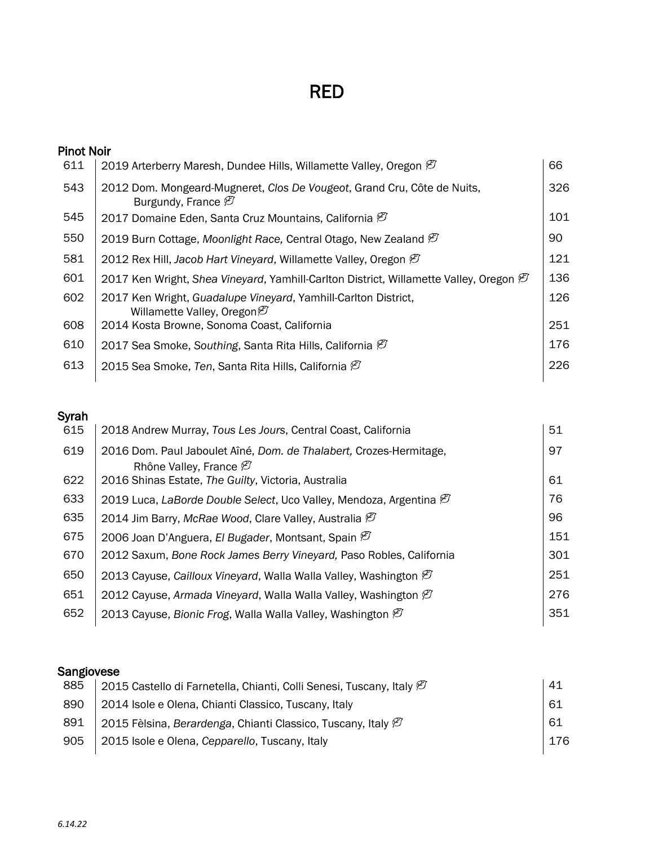# RED

| <b>Pinot Noir</b> |                                                                                                           |     |
|-------------------|-----------------------------------------------------------------------------------------------------------|-----|
| 611               | 2019 Arterberry Maresh, Dundee Hills, Willamette Valley, Oregon $\mathcal{D}$                             | 66  |
| 543               | 2012 Dom. Mongeard-Mugneret, Clos De Vougeot, Grand Cru, Côte de Nuits,<br>Burgundy, France $\varnothing$ | 326 |
| 545               | 2017 Domaine Eden, Santa Cruz Mountains, California $\mathcal{D}$                                         | 101 |
| 550               | 2019 Burn Cottage, Moonlight Race, Central Otago, New Zealand $\varnothing$                               | 90  |
| 581               | 2012 Rex Hill, Jacob Hart Vineyard, Willamette Valley, Oregon $\mathcal C$                                | 121 |
| 601               | 2017 Ken Wright, Shea Vineyard, Yamhill-Carlton District, Willamette Valley, Oregon $\mathcal G$          | 136 |
| 602               | 2017 Ken Wright, Guadalupe Vineyard, Yamhill-Carlton District,<br>Willamette Valley, Oregon $\varnothing$ | 126 |
| 608               | 2014 Kosta Browne, Sonoma Coast, California                                                               | 251 |
| 610               | 2017 Sea Smoke, Southing, Santa Rita Hills, California $\varnothing$                                      | 176 |
| 613               | 2015 Sea Smoke, Ten, Santa Rita Hills, California $\varnothing$                                           | 226 |

## Syrah

| 615 | 2018 Andrew Murray, Tous Les Jours, Central Coast, California                                            | 51  |
|-----|----------------------------------------------------------------------------------------------------------|-----|
| 619 | 2016 Dom. Paul Jaboulet Aîné, Dom. de Thalabert, Crozes-Hermitage,<br>Rhône Valley, France $\varnothing$ | 97  |
| 622 | 2016 Shinas Estate, The Guilty, Victoria, Australia                                                      | 61  |
| 633 | 2019 Luca, LaBorde Double Select, Uco Valley, Mendoza, Argentina $\mathcal C$                            | 76  |
| 635 | 2014 Jim Barry, McRae Wood, Clare Valley, Australia $\mathcal{B}$                                        | 96  |
| 675 | 2006 Joan D'Anguera, El Bugader, Montsant, Spain @                                                       | 151 |
| 670 | 2012 Saxum, Bone Rock James Berry Vineyard, Paso Robles, California                                      | 301 |
| 650 | 2013 Cayuse, Cailloux Vineyard, Walla Walla Valley, Washington $\mathcal{B}$                             | 251 |
| 651 | 2012 Cayuse, Armada Vineyard, Walla Walla Valley, Washington $\varnothing$                               | 276 |
| 652 | 2013 Cayuse, Bionic Frog, Walla Walla Valley, Washington $\varnothing$                                   | 351 |
|     |                                                                                                          |     |

#### Sangiovese

| 885 | 2015 Castello di Farnetella, Chianti, Colli Senesi, Tuscany, Italy $\varnothing$ | -41 |
|-----|----------------------------------------------------------------------------------|-----|
| 890 | 2014 Isole e Olena, Chianti Classico, Tuscany, Italy                             | -61 |
| 891 | $\mid$ 2015 Fèlsina, Berardenga, Chianti Classico, Tuscany, Italy $\varnothing$  | -61 |
| 905 | 2015 Isole e Olena, Cepparello, Tuscany, Italy                                   | 176 |
|     |                                                                                  |     |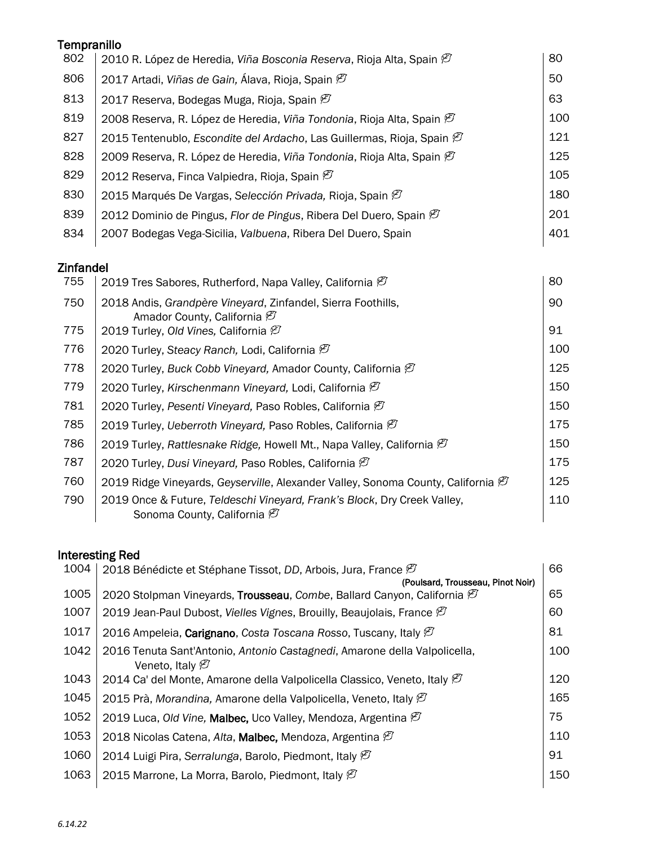| Tempranillo |                                                                                   |     |
|-------------|-----------------------------------------------------------------------------------|-----|
| 802         | 2010 R. López de Heredia, Viña Bosconia Reserva, Rioja Alta, Spain $\mathcal C$   | 80  |
| 806         | 2017 Artadi, Viñas de Gain, Álava, Rioja, Spain Ø                                 | 50  |
| 813         | 2017 Reserva, Bodegas Muga, Rioja, Spain $\mathcal{B}$                            | 63  |
| 819         | 2008 Reserva, R. López de Heredia, Viña Tondonia, Rioja Alta, Spain $\mathscr{G}$ | 100 |
| 827         | 2015 Tentenublo, Escondite del Ardacho, Las Guillermas, Rioja, Spain $\mathcal C$ | 121 |
| 828         | 2009 Reserva, R. López de Heredia, Viña Tondonia, Rioja Alta, Spain $\mathcal C$  | 125 |
| 829         | 2012 Reserva, Finca Valpiedra, Rioja, Spain $\mathcal{B}$                         | 105 |
| 830         | 2015 Marqués De Vargas, Selección Privada, Rioja, Spain $\mathscr{D}$             | 180 |
| 839         | 2012 Dominio de Pingus, Flor de Pingus, Ribera Del Duero, Spain $\mathcal C$      | 201 |
| 834         | 2007 Bodegas Vega-Sicilia, Valbuena, Ribera Del Duero, Spain                      | 401 |
|             |                                                                                   |     |

### Zinfandel

| 2019 Tres Sabores, Rutherford, Napa Valley, California $\varnothing$                                                  | 80  |
|-----------------------------------------------------------------------------------------------------------------------|-----|
| 2018 Andis, Grandpère Vineyard, Zinfandel, Sierra Foothills,<br>Amador County, California $\mathcal{B}$               | 90  |
| 2019 Turley, Old Vines, California $\mathcal{O}$                                                                      | 91  |
| 2020 Turley, Steacy Ranch, Lodi, California $\mathcal{B}$                                                             | 100 |
| 2020 Turley, Buck Cobb Vineyard, Amador County, California $\mathcal{D}$                                              | 125 |
| 2020 Turley, Kirschenmann Vineyard, Lodi, California $\mathcal{C}$                                                    | 150 |
| 2020 Turley, Pesenti Vineyard, Paso Robles, California $\mathcal C$                                                   | 150 |
| 2019 Turley, Ueberroth Vineyard, Paso Robles, California <sup>(2)</sup>                                               | 175 |
| 2019 Turley, Rattlesnake Ridge, Howell Mt., Napa Valley, California $\mathcal C$                                      | 150 |
| 2020 Turley, Dusi Vineyard, Paso Robles, California $\varnothing$                                                     | 175 |
| 2019 Ridge Vineyards, Geyserville, Alexander Valley, Sonoma County, California $\mathcal C$                           | 125 |
| 2019 Once & Future, Teldeschi Vineyard, Frank's Block, Dry Creek Valley,<br>Sonoma County, California <sup>[27]</sup> | 110 |
|                                                                                                                       |     |

## Interesting Red

| 1004 | 2018 Bénédicte et Stéphane Tissot, DD, Arbois, Jura, France $\varnothing$                                | 66  |
|------|----------------------------------------------------------------------------------------------------------|-----|
|      | (Poulsard, Trousseau, Pinot Noir)                                                                        |     |
| 1005 | 2020 Stolpman Vineyards, Trousseau, Combe, Ballard Canyon, California $\mathcal C$                       | 65  |
| 1007 | 2019 Jean-Paul Dubost, Vielles Vignes, Brouilly, Beaujolais, France $\mathcal{C}$                        | 60  |
| 1017 | 2016 Ampeleia, Carignano, Costa Toscana Rosso, Tuscany, Italy $\mathcal C$                               | 81  |
| 1042 | 2016 Tenuta Sant'Antonio, Antonio Castagnedi, Amarone della Valpolicella,<br>Veneto, Italy $\varnothing$ | 100 |
| 1043 | 2014 Ca' del Monte, Amarone della Valpolicella Classico, Veneto, Italy <sup>(27</sup> )                  | 120 |
| 1045 | 2015 Prà, Morandina, Amarone della Valpolicella, Veneto, Italy $\mathscr{G}$                             | 165 |
| 1052 | 2019 Luca, Old Vine, Malbec, Uco Valley, Mendoza, Argentina $\mathcal{B}$                                | 75  |
| 1053 | 2018 Nicolas Catena, Alta, Malbec, Mendoza, Argentina $\mathcal{O}$                                      | 110 |
| 1060 | 2014 Luigi Pira, Serralunga, Barolo, Piedmont, Italy $\varnothing$                                       | 91  |
| 1063 | 2015 Marrone, La Morra, Barolo, Piedmont, Italy $\mathcal{B}$                                            | 150 |
|      |                                                                                                          |     |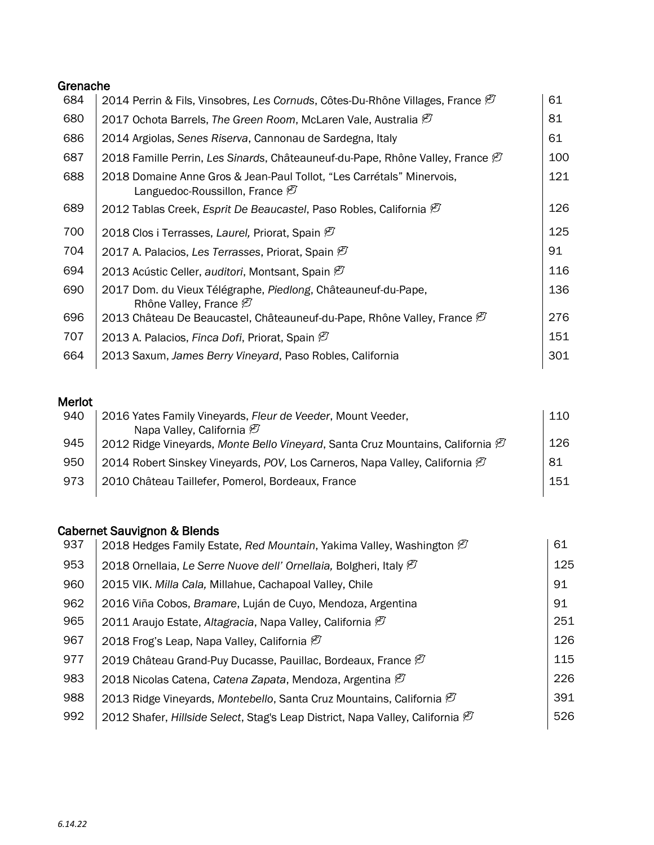#### Grenache

| 2014 Perrin & Fils, Vinsobres, Les Cornuds, Côtes-Du-Rhône Villages, France $\mathcal C$                            | 61  |
|---------------------------------------------------------------------------------------------------------------------|-----|
| 2017 Ochota Barrels, The Green Room, McLaren Vale, Australia $\mathcal{G}$                                          | 81  |
| 2014 Argiolas, Senes Riserva, Cannonau de Sardegna, Italy                                                           | 61  |
| 2018 Famille Perrin, Les Sinards, Châteauneuf-du-Pape, Rhône Valley, France $\mathcal C$                            | 100 |
| 2018 Domaine Anne Gros & Jean-Paul Tollot, "Les Carrétals" Minervois,<br>Languedoc-Roussillon, France $\mathcal{B}$ | 121 |
| 2012 Tablas Creek, Esprit De Beaucastel, Paso Robles, California $\mathcal C$                                       | 126 |
| 2018 Clos i Terrasses, Laurel, Priorat, Spain $\mathcal{B}$                                                         | 125 |
| 2017 A. Palacios, Les Terrasses, Priorat, Spain $\mathcal{B}$                                                       | 91  |
| 2013 Acústic Celler, auditori, Montsant, Spain $\varnothing$                                                        | 116 |
| 2017 Dom. du Vieux Télégraphe, Piedlong, Châteauneuf-du-Pape,<br>Rhône Valley, France $\varnothing$                 | 136 |
| 2013 Château De Beaucastel, Châteauneuf-du-Pape, Rhône Valley, France $\mathscr{C}$                                 | 276 |
| 2013 A. Palacios, Finca Dofi, Priorat, Spain $\mathcal{B}$                                                          | 151 |
| 2013 Saxum, James Berry Vineyard, Paso Robles, California                                                           | 301 |
|                                                                                                                     |     |

## Merlot

| 940 | 2016 Yates Family Vineyards, Fleur de Veeder, Mount Veeder,                                | 110 |
|-----|--------------------------------------------------------------------------------------------|-----|
|     | Napa Valley, California $\varnothing$                                                      |     |
| 945 | 2012 Ridge Vineyards, Monte Bello Vineyard, Santa Cruz Mountains, California $\mathcal{P}$ | 126 |
| 950 | 2014 Robert Sinskey Vineyards, POV, Los Carneros, Napa Valley, California $\mathcal C$     | -81 |
| 973 | 2010 Château Taillefer, Pomerol, Bordeaux, France                                          | 151 |

#### Cabernet Sauvignon & Blends

| 937 | 2018 Hedges Family Estate, Red Mountain, Yakima Valley, Washington $\mathcal C$          | 61  |
|-----|------------------------------------------------------------------------------------------|-----|
| 953 | 2018 Ornellaia, Le Serre Nuove dell' Ornellaia, Bolgheri, Italy <sup>(2)</sup>           | 125 |
| 960 | 2015 VIK. Milla Cala, Millahue, Cachapoal Valley, Chile                                  | 91  |
| 962 | 2016 Viña Cobos, Bramare, Luján de Cuyo, Mendoza, Argentina                              | 91  |
| 965 | 2011 Araujo Estate, Altagracia, Napa Valley, California $\varnothing$                    | 251 |
| 967 | 2018 Frog's Leap, Napa Valley, California $\mathcal{B}$                                  | 126 |
| 977 | 2019 Château Grand-Puy Ducasse, Pauillac, Bordeaux, France $\varnothing$                 | 115 |
| 983 | 2018 Nicolas Catena, Catena Zapata, Mendoza, Argentina $\mathcal{B}$                     | 226 |
| 988 | 2013 Ridge Vineyards, Montebello, Santa Cruz Mountains, California $\varnothing$         | 391 |
| 992 | 2012 Shafer, Hillside Select, Stag's Leap District, Napa Valley, California $\mathcal C$ | 526 |
|     |                                                                                          |     |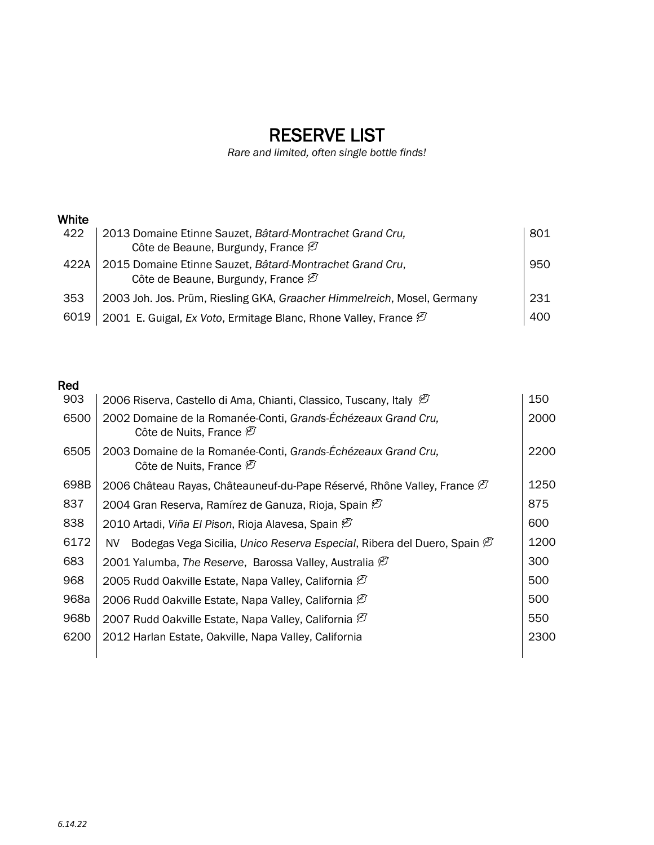# RESERVE LIST

*Rare and limited, often single bottle finds!*

### White

| 422  | 2013 Domaine Etinne Sauzet, Bâtard-Montrachet Grand Cru,                    | 801 |
|------|-----------------------------------------------------------------------------|-----|
|      | Côte de Beaune, Burgundy, France $\mathcal{D}$                              |     |
| 422A | 2015 Domaine Etinne Sauzet, Bâtard-Montrachet Grand Cru,                    | 950 |
|      | Côte de Beaune, Burgundy, France $\mathcal{B}$                              |     |
| 353  | 2003 Joh. Jos. Prüm, Riesling GKA, Graacher Himmelreich, Mosel, Germany     | 231 |
| 6019 | 2001 E. Guigal, Ex Voto, Ermitage Blanc, Rhone Valley, France $\varnothing$ | 400 |

## Red

| 903  | 2006 Riserva, Castello di Ama, Chianti, Classico, Tuscany, Italy $\mathcal C$                        | 150  |
|------|------------------------------------------------------------------------------------------------------|------|
| 6500 | 2002 Domaine de la Romanée-Conti, Grands-Échézeaux Grand Cru,<br>Côte de Nuits, France $\varnothing$ | 2000 |
| 6505 | 2003 Domaine de la Romanée-Conti, Grands-Échézeaux Grand Cru,<br>Côte de Nuits, France $\varnothing$ | 2200 |
| 698B | 2006 Château Rayas, Châteauneuf-du-Pape Réservé, Rhône Valley, France <sup>ent</sup>                 | 1250 |
| 837  | 2004 Gran Reserva, Ramírez de Ganuza, Rioja, Spain $\mathcal{B}$                                     | 875  |
| 838  | 2010 Artadi, Viña El Pison, Rioja Alavesa, Spain $\mathfrak{B}$                                      | 600  |
| 6172 | Bodegas Vega Sicilia, Unico Reserva Especial, Ribera del Duero, Spain <sup>(27</sup> )<br>NV.        | 1200 |
| 683  | 2001 Yalumba, The Reserve, Barossa Valley, Australia $\ell$                                          | 300  |
| 968  | 2005 Rudd Oakville Estate, Napa Valley, California $\mathscr{G}$                                     | 500  |
| 968a | 2006 Rudd Oakville Estate, Napa Valley, California $\varnothing$                                     | 500  |
| 968b | 2007 Rudd Oakville Estate, Napa Valley, California $\mathcal{B}$                                     | 550  |
| 6200 | 2012 Harlan Estate, Oakville, Napa Valley, California                                                | 2300 |
|      |                                                                                                      |      |